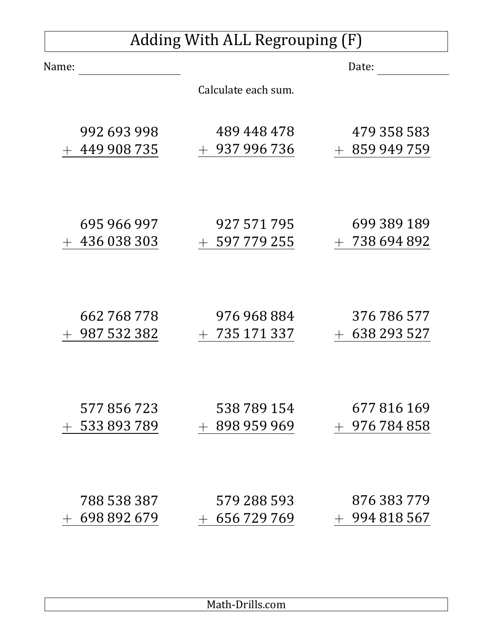## Adding With ALL Regrouping (F)

| Name:                      |                            | Date:                             |
|----------------------------|----------------------------|-----------------------------------|
|                            | Calculate each sum.        |                                   |
| 992 693 998<br>449 908 735 | 489 448 478<br>937 996 736 | 479 358 583<br>859 949 759<br>$+$ |
|                            |                            |                                   |
| 695 966 997                | 927 571 795                | 699 389 189                       |
| 436 038 303                | 597 779 255                | 738 694 892                       |
|                            |                            |                                   |
| 662 768 778                | 976 968 884                | 376 786 577                       |
| 987 532 382                | 735 171 337                | 638 293 527<br>$+$                |
| 577 856 723                | 538 789 154                | 677 816 169                       |
| 533 893 789                | 898 959 969                | 976 784 858                       |
| 788 538 387                | 579 288 593                | 876 383 779                       |
| 698 892 679                | 656 729 769                | 994 818 567                       |